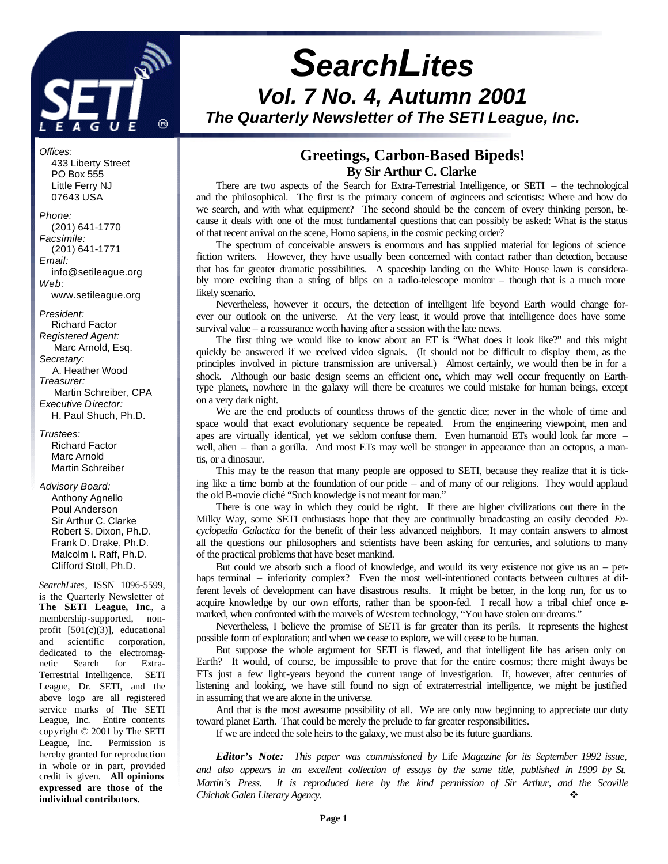

# *SearchLites Vol. 7 No. 4, Autumn 2001 The Quarterly Newsletter of The SETI League, Inc.*

*Offices:*

 433 Liberty Street PO Box 555 Little Ferry NJ 07643 USA

*Phone:* (201) 641-1770 *Facsimile:* (201) 641-1771 *Email:* info@setileague.org *Web:* www.setileague.org

*President:* Richard Factor *Registered Agent:*  Marc Arnold, Esq. *Secretary:* A. Heather Wood *Treasurer:*  Martin Schreiber, CPA *Executive Director:* H. Paul Shuch, Ph.D.

*Trustees:* Richard Factor Marc Arnold Martin Schreiber

*Advisory Board:* Anthony Agnello Poul Anderson Sir Arthur C. Clarke Robert S. Dixon, Ph.D. Frank D. Drake, Ph.D. Malcolm I. Raff, Ph.D. Clifford Stoll, Ph.D.

*SearchLites*, ISSN 1096-5599, is the Quarterly Newsletter of **The SETI League, Inc**., a membership-supported, nonprofit [501(c)(3)], educational and scientific corporation, dedicated to the electromagnetic Search for Extra-Terrestrial Intelligence. SETI League, Dr. SETI, and the above logo are all registered service marks of The SETI League, Inc. Entire contents copyright © 2001 by The SETI League, Inc. Permission is hereby granted for reproduction in whole or in part, provided credit is given. **All opinions expressed are those of the individual contributors.**

### **Greetings, Carbon-Based Bipeds! By Sir Arthur C. Clarke**

There are two aspects of the Search for Extra-Terrestrial Intelligence, or SETI – the technological and the philosophical. The first is the primary concern of engineers and scientists: Where and how do we search, and with what equipment? The second should be the concern of every thinking person, because it deals with one of the most fundamental questions that can possibly be asked: What is the status of that recent arrival on the scene, Homo sapiens, in the cosmic pecking order?

The spectrum of conceivable answers is enormous and has supplied material for legions of science fiction writers. However, they have usually been concerned with contact rather than detection, because that has far greater dramatic possibilities. A spaceship landing on the White House lawn is considerably more exciting than a string of blips on a radio-telescope monitor – though that is a much more likely scenario.

Nevertheless, however it occurs, the detection of intelligent life beyond Earth would change forever our outlook on the universe. At the very least, it would prove that intelligence does have some survival value – a reassurance worth having after a session with the late news.

The first thing we would like to know about an ET is "What does it look like?" and this might quickly be answered if we received video signals. (It should not be difficult to display them, as the principles involved in picture transmission are universal.) Almost certainly, we would then be in for a shock. Although our basic design seems an efficient one, which may well occur frequently on Earthtype planets, nowhere in the galaxy will there be creatures we could mistake for human beings, except on a very dark night.

We are the end products of countless throws of the genetic dice; never in the whole of time and space would that exact evolutionary sequence be repeated. From the engineering viewpoint, men and apes are virtually identical, yet we seldom confuse them. Even humanoid ETs would look far more – well, alien – than a gorilla. And most ETs may well be stranger in appearance than an octopus, a mantis, or a dinosaur.

This may be the reason that many people are opposed to SETI, because they realize that it is ticking like a time bomb at the foundation of our pride – and of many of our religions. They would applaud the old B-movie cliché "Such knowledge is not meant for man."

There is one way in which they could be right. If there are higher civilizations out there in the Milky Way, some SETI enthusiasts hope that they are continually broadcasting an easily decoded *Encyclopedia Galactica* for the benefit of their less advanced neighbors. It may contain answers to almost all the questions our philosophers and scientists have been asking for centuries, and solutions to many of the practical problems that have beset mankind.

But could we absorb such a flood of knowledge, and would its very existence not give us an – perhaps terminal – inferiority complex? Even the most well-intentioned contacts between cultures at different levels of development can have disastrous results. It might be better, in the long run, for us to acquire knowledge by our own efforts, rather than be spoon-fed. I recall how a tribal chief once remarked, when confronted with the marvels of Western technology, "You have stolen our dreams."

Nevertheless, I believe the promise of SETI is far greater than its perils. It represents the highest possible form of exploration; and when we cease to explore, we will cease to be human.

But suppose the whole argument for SETI is flawed, and that intelligent life has arisen only on Earth? It would, of course, be impossible to prove that for the entire cosmos; there might always be ETs just a few light-years beyond the current range of investigation. If, however, after centuries of listening and looking, we have still found no sign of extraterrestrial intelligence, we might be justified in assuming that we are alone in the universe.

And that is the most awesome possibility of all. We are only now beginning to appreciate our duty toward planet Earth. That could be merely the prelude to far greater responsibilities.

If we are indeed the sole heirs to the galaxy, we must also be its future guardians.

*Editor's Note: This paper was commissioned by* Life *Magazine for its September 1992 issue, and also appears in an excellent collection of essays by the same title, published in 1999 by St. Martin's Press. It is reproduced here by the kind permission of Sir Arthur, and the Scoville Chichak Galen Literary Agency.* v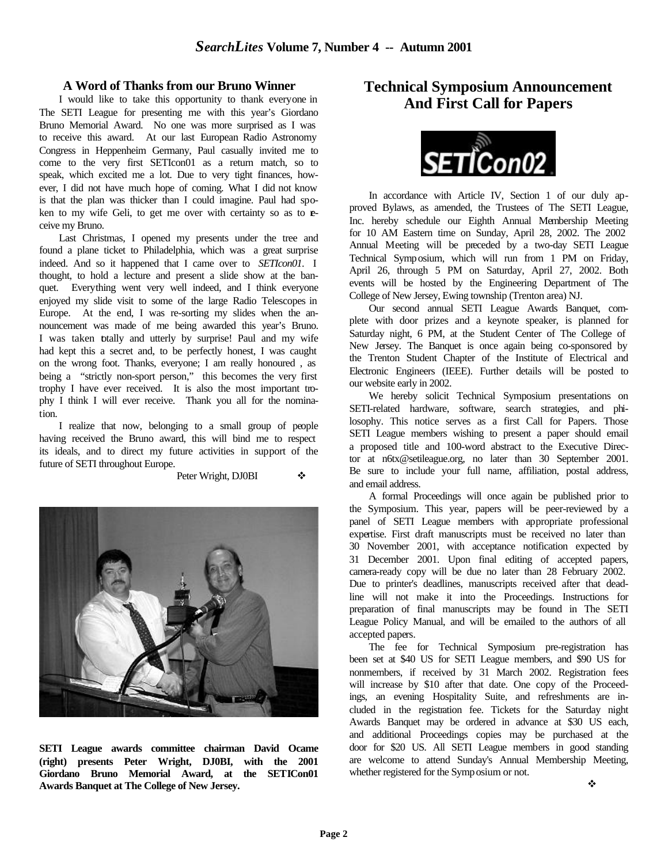#### **A Word of Thanks from our Bruno Winner**

I would like to take this opportunity to thank everyone in The SETI League for presenting me with this year's Giordano Bruno Memorial Award. No one was more surprised as I was to receive this award. At our last European Radio Astronomy Congress in Heppenheim Germany, Paul casually invited me to come to the very first SETIcon01 as a return match, so to speak, which excited me a lot. Due to very tight finances, however, I did not have much hope of coming. What I did not know is that the plan was thicker than I could imagine. Paul had spoken to my wife Geli, to get me over with certainty so as to receive my Bruno.

Last Christmas, I opened my presents under the tree and found a plane ticket to Philadelphia, which was a great surprise indeed. And so it happened that I came over to *SETIcon01*. I thought, to hold a lecture and present a slide show at the banquet. Everything went very well indeed, and I think everyone enjoyed my slide visit to some of the large Radio Telescopes in Europe. At the end, I was re-sorting my slides when the announcement was made of me being awarded this year's Bruno. I was taken totally and utterly by surprise! Paul and my wife had kept this a secret and, to be perfectly honest, I was caught on the wrong foot. Thanks, everyone; I am really honoured , as being a "strictly non-sport person," this becomes the very first trophy I have ever received. It is also the most important trophy I think I will ever receive. Thank you all for the nomination.

I realize that now, belonging to a small group of people having received the Bruno award, this will bind me to respect its ideals, and to direct my future activities in support of the future of SETI throughout Europe.

Peter Wright, DJ0BI →



**SETI League awards committee chairman David Ocame (right) presents Peter Wright, DJ0BI, with the 2001 Giordano Bruno Memorial Award, at the SETICon01 Awards Banquet at The College of New Jersey.**

# **Technical Symposium Announcement And First Call for Papers**



In accordance with Article IV, Section 1 of our duly approved Bylaws, as amended, the Trustees of The SETI League, Inc. hereby schedule our Eighth Annual Membership Meeting for 10 AM Eastern time on Sunday, April 28, 2002. The 2002 Annual Meeting will be preceded by a two-day SETI League Technical Symposium, which will run from 1 PM on Friday, April 26, through 5 PM on Saturday, April 27, 2002. Both events will be hosted by the Engineering Department of The College of New Jersey, Ewing township (Trenton area) NJ.

Our second annual SETI League Awards Banquet, complete with door prizes and a keynote speaker, is planned for Saturday night, 6 PM, at the Student Center of The College of New Jersey. The Banquet is once again being co-sponsored by the Trenton Student Chapter of the Institute of Electrical and Electronic Engineers (IEEE). Further details will be posted to our website early in 2002.

We hereby solicit Technical Symposium presentations on SETI-related hardware, software, search strategies, and philosophy. This notice serves as a first Call for Papers. Those SETI League members wishing to present a paper should email a proposed title and 100-word abstract to the Executive Director at n6tx@setileague.org, no later than 30 September 2001. Be sure to include your full name, affiliation, postal address, and email address.

A formal Proceedings will once again be published prior to the Symposium. This year, papers will be peer-reviewed by a panel of SETI League members with appropriate professional expertise. First draft manuscripts must be received no later than 30 November 2001, with acceptance notification expected by 31 December 2001. Upon final editing of accepted papers, camera-ready copy will be due no later than 28 February 2002. Due to printer's deadlines, manuscripts received after that deadline will not make it into the Proceedings. Instructions for preparation of final manuscripts may be found in The SETI League Policy Manual, and will be emailed to the authors of all accepted papers.

The fee for Technical Symposium pre-registration has been set at \$40 US for SETI League members, and \$90 US for nonmembers, if received by 31 March 2002. Registration fees will increase by \$10 after that date. One copy of the Proceedings, an evening Hospitality Suite, and refreshments are included in the registration fee. Tickets for the Saturday night Awards Banquet may be ordered in advance at \$30 US each, and additional Proceedings copies may be purchased at the door for \$20 US. All SETI League members in good standing are welcome to attend Sunday's Annual Membership Meeting, whether registered for the Symposium or not.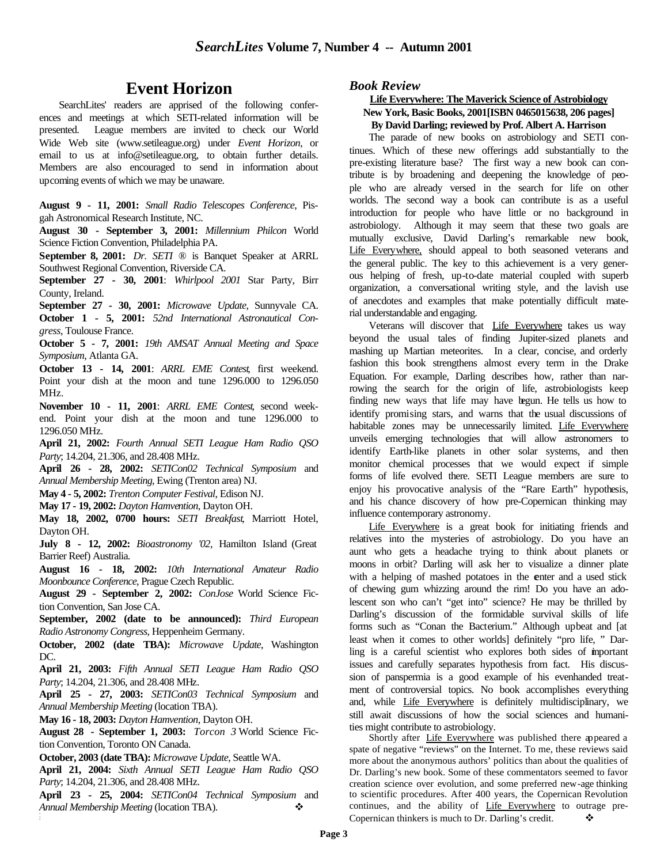# **Event Horizon**

SearchLites' readers are apprised of the following conferences and meetings at which SETI-related information will be presented. League members are invited to check our World Wide Web site (www.setileague.org) under *Event Horizon*, or email to us at info@setileague.org, to obtain further details. Members are also encouraged to send in information about upcoming events of which we may be unaware.

**August 9 - 11, 2001:** *Small Radio Telescopes Conference*, Pisgah Astronomical Research Institute, NC.

**August 30 - September 3, 2001:** *Millennium Philcon* World Science Fiction Convention, Philadelphia PA.

**September 8, 2001:** *Dr. SETI ®* is Banquet Speaker at ARRL Southwest Regional Convention, Riverside CA.

**September 27 - 30, 2001**: *Whirlpool 2001* Star Party, Birr County, Ireland.

**September 27 - 30, 2001:** *Microwave Update*, Sunnyvale CA. **October 1 - 5, 2001:** *52nd International Astronautical Congress*, Toulouse France.

**October 5 - 7, 2001:** *19th AMSAT Annual Meeting and Space Symposium*, Atlanta GA.

**October 13 - 14, 2001**: *ARRL EME Contest*, first weekend. Point your dish at the moon and tune 1296.000 to 1296.050 MHz.

**November 10 - 11, 2001**: *ARRL EME Contest*, second weekend. Point your dish at the moon and tune 1296.000 to 1296.050 MHz.

**April 21, 2002:** *Fourth Annual SETI League Ham Radio QSO Party*; 14.204, 21.306, and 28.408 MHz.

**April 26 - 28, 2002:** *SETICon02 Technical Symposium* and *Annual Membership Meeting*, Ewing (Trenton area) NJ.

**May 4 - 5, 2002:** *Trenton Computer Festival*, Edison NJ.

**May 17 - 19, 2002:** *Dayton Hamvention*, Dayton OH.

**May 18, 2002, 0700 hours:** *SETI Breakfast*, Marriott Hotel, Dayton OH.

**July 8 - 12, 2002:** *Bioastronomy '02*, Hamilton Island (Great Barrier Reef) Australia.

**August 16 - 18, 2002:** *10th International Amateur Radio Moonbounce Conference*, Prague Czech Republic.

**August 29 - September 2, 2002:** *ConJose* World Science Fiction Convention, San Jose CA.

**September, 2002 (date to be announced):** *Third European Radio Astronomy Congress*, Heppenheim Germany.

**October, 2002 (date TBA):** *Microwave Update*, Washington DC.

**April 21, 2003:** *Fifth Annual SETI League Ham Radio QSO Party*; 14.204, 21.306, and 28.408 MHz.

**April 25 - 27, 2003:** *SETICon03 Technical Symposium* and *Annual Membership Meeting* (location TBA).

**May 16 - 18, 2003:** *Dayton Hamvention*, Dayton OH.

**August 28 - September 1, 2003:** *Torcon 3* World Science Fiction Convention, Toronto ON Canada.

**October, 2003 (date TBA):** *Microwave Update*, Seattle WA.

**April 21, 2004:** *Sixth Annual SETI League Ham Radio QSO Party*; 14.204, 21.306, and 28.408 MHz.

**April 23 - 25, 2004:** *SETICon04 Technical Symposium* and *Annual Membership Meeting* (location TBA). ◆

*Book Review*

### **Life Everywhere: The Maverick Science of Astrobiology New York, Basic Books, 2001[ISBN 0465015638, 206 pages]**

**By David Darling; reviewed by Prof. Albert A. Harrison**

The parade of new books on astrobiology and SETI continues. Which of these new offerings add substantially to the pre-existing literature base? The first way a new book can contribute is by broadening and deepening the knowledge of people who are already versed in the search for life on other worlds. The second way a book can contribute is as a useful introduction for people who have little or no background in astrobiology. Although it may seem that these two goals are mutually exclusive, David Darling's remarkable new book, Life Everywhere, should appeal to both seasoned veterans and the general public. The key to this achievement is a very generous helping of fresh, up-to-date material coupled with superb organization, a conversational writing style, and the lavish use of anecdotes and examples that make potentially difficult material understandable and engaging.

Veterans will discover that Life Everywhere takes us way beyond the usual tales of finding Jupiter-sized planets and mashing up Martian meteorites. In a clear, concise, and orderly fashion this book strengthens almost every term in the Drake Equation. For example, Darling describes how, rather than narrowing the search for the origin of life, astrobiologists keep finding new ways that life may have begun. He tells us how to identify promising stars, and warns that the usual discussions of habitable zones may be unnecessarily limited. Life Everywhere unveils emerging technologies that will allow astronomers to identify Earth-like planets in other solar systems, and then monitor chemical processes that we would expect if simple forms of life evolved there. SETI League members are sure to enjoy his provocative analysis of the "Rare Earth" hypothesis, and his chance discovery of how pre-Copernican thinking may influence contemporary astronomy.

Life Everywhere is a great book for initiating friends and relatives into the mysteries of astrobiology. Do you have an aunt who gets a headache trying to think about planets or moons in orbit? Darling will ask her to visualize a dinner plate with a helping of mashed potatoes in the center and a used stick of chewing gum whizzing around the rim! Do you have an adolescent son who can't "get into" science? He may be thrilled by Darling's discussion of the formidable survival skills of life forms such as "Conan the Bacterium." Although upbeat and [at least when it comes to other worlds] definitely "pro life, " Darling is a careful scientist who explores both sides of important issues and carefully separates hypothesis from fact. His discussion of panspermia is a good example of his evenhanded treatment of controversial topics. No book accomplishes everything and, while Life Everywhere is definitely multidisciplinary, we still await discussions of how the social sciences and humanities might contribute to astrobiology.

Shortly after Life Everywhere was published there appeared a spate of negative "reviews" on the Internet. To me, these reviews said more about the anonymous authors' politics than about the qualities of Dr. Darling's new book. Some of these commentators seemed to favor creation science over evolution, and some preferred new-age thinking to scientific procedures. After 400 years, the Copernican Revolution continues, and the ability of Life Everywhere to outrage pre-Copernican thinkers is much to Dr. Darling's credit.  $\bullet$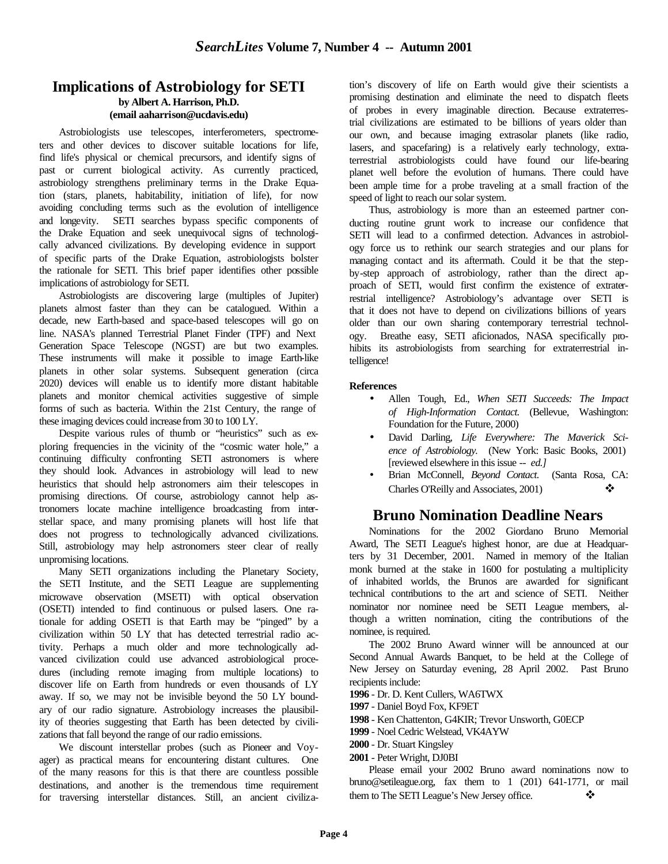### **Implications of Astrobiology for SETI by Albert A. Harrison, Ph.D. (email aaharrison@ucdavis.edu)**

Astrobiologists use telescopes, interferometers, spectrometers and other devices to discover suitable locations for life, find life's physical or chemical precursors, and identify signs of past or current biological activity. As currently practiced, astrobiology strengthens preliminary terms in the Drake Equation (stars, planets, habitability, initiation of life), for now avoiding concluding terms such as the evolution of intelligence and longevity. SETI searches bypass specific components of the Drake Equation and seek unequivocal signs of technologically advanced civilizations. By developing evidence in support of specific parts of the Drake Equation, astrobiologists bolster the rationale for SETI. This brief paper identifies other possible implications of astrobiology for SETI.

Astrobiologists are discovering large (multiples of Jupiter) planets almost faster than they can be catalogued. Within a decade, new Earth-based and space-based telescopes will go on line. NASA's planned Terrestrial Planet Finder (TPF) and Next Generation Space Telescope (NGST) are but two examples. These instruments will make it possible to image Earth-like planets in other solar systems. Subsequent generation (circa 2020) devices will enable us to identify more distant habitable planets and monitor chemical activities suggestive of simple forms of such as bacteria. Within the 21st Century, the range of these imaging devices could increase from 30 to 100 LY.

Despite various rules of thumb or "heuristics" such as exploring frequencies in the vicinity of the "cosmic water hole," a continuing difficulty confronting SETI astronomers is where they should look. Advances in astrobiology will lead to new heuristics that should help astronomers aim their telescopes in promising directions. Of course, astrobiology cannot help astronomers locate machine intelligence broadcasting from interstellar space, and many promising planets will host life that does not progress to technologically advanced civilizations. Still, astrobiology may help astronomers steer clear of really unpromising locations.

Many SETI organizations including the Planetary Society, the SETI Institute, and the SETI League are supplementing microwave observation (MSETI) with optical observation (OSETI) intended to find continuous or pulsed lasers. One rationale for adding OSETI is that Earth may be "pinged" by a civilization within 50 LY that has detected terrestrial radio activity. Perhaps a much older and more technologically advanced civilization could use advanced astrobiological procedures (including remote imaging from multiple locations) to discover life on Earth from hundreds or even thousands of LY away. If so, we may not be invisible beyond the 50 LY boundary of our radio signature. Astrobiology increases the plausibility of theories suggesting that Earth has been detected by civilizations that fall beyond the range of our radio emissions.

We discount interstellar probes (such as Pioneer and Voyager) as practical means for encountering distant cultures. One of the many reasons for this is that there are countless possible destinations, and another is the tremendous time requirement for traversing interstellar distances. Still, an ancient civiliza-

tion's discovery of life on Earth would give their scientists a promising destination and eliminate the need to dispatch fleets of probes in every imaginable direction. Because extraterrestrial civilizations are estimated to be billions of years older than our own, and because imaging extrasolar planets (like radio, lasers, and spacefaring) is a relatively early technology, extraterrestrial astrobiologists could have found our life-bearing planet well before the evolution of humans. There could have been ample time for a probe traveling at a small fraction of the speed of light to reach our solar system.

Thus, astrobiology is more than an esteemed partner conducting routine grunt work to increase our confidence that SETI will lead to a confirmed detection. Advances in astrobiology force us to rethink our search strategies and our plans for managing contact and its aftermath. Could it be that the stepby-step approach of astrobiology, rather than the direct approach of SETI, would first confirm the existence of extraterrestrial intelligence? Astrobiology's advantage over SETI is that it does not have to depend on civilizations billions of years older than our own sharing contemporary terrestrial technology. Breathe easy, SETI aficionados, NASA specifically prohibits its astrobiologists from searching for extraterrestrial intelligence!

#### **References**

- Allen Tough, Ed., *When SETI Succeeds: The Impact of High-Information Contact.* (Bellevue, Washington: Foundation for the Future, 2000)
- David Darling, *Life Everywhere: The Maverick Science of Astrobiology.* (New York: Basic Books, 2001) [reviewed elsewhere in this issue -- *ed.]*
- Brian McConnell, *Beyond Contact*. (Santa Rosa, CA: Charles O'Reilly and Associates, 2001)  $\bullet$

### **Bruno Nomination Deadline Nears**

Nominations for the 2002 Giordano Bruno Memorial Award, The SETI League's highest honor, are due at Headquarters by 31 December, 2001. Named in memory of the Italian monk burned at the stake in 1600 for postulating a multiplicity of inhabited worlds, the Brunos are awarded for significant technical contributions to the art and science of SETI. Neither nominator nor nominee need be SETI League members, although a written nomination, citing the contributions of the nominee, is required.

The 2002 Bruno Award winner will be announced at our Second Annual Awards Banquet, to be held at the College of New Jersey on Saturday evening, 28 April 2002. Past Bruno recipients include:

**1996** - Dr. D. Kent Cullers, WA6TWX

**1997** - Daniel Boyd Fox, KF9ET

**1998** - Ken Chattenton, G4KIR; Trevor Unsworth, G0ECP

**1999** - Noel Cedric Welstead, VK4AYW

**2000** - Dr. Stuart Kingsley

**2001** - Peter Wright, DJ0BI

Please email your 2002 Bruno award nominations now to bruno@setileague.org, fax them to 1 (201) 641-1771, or mail them to The SETI League's New Jersey office.  $\bullet\bullet$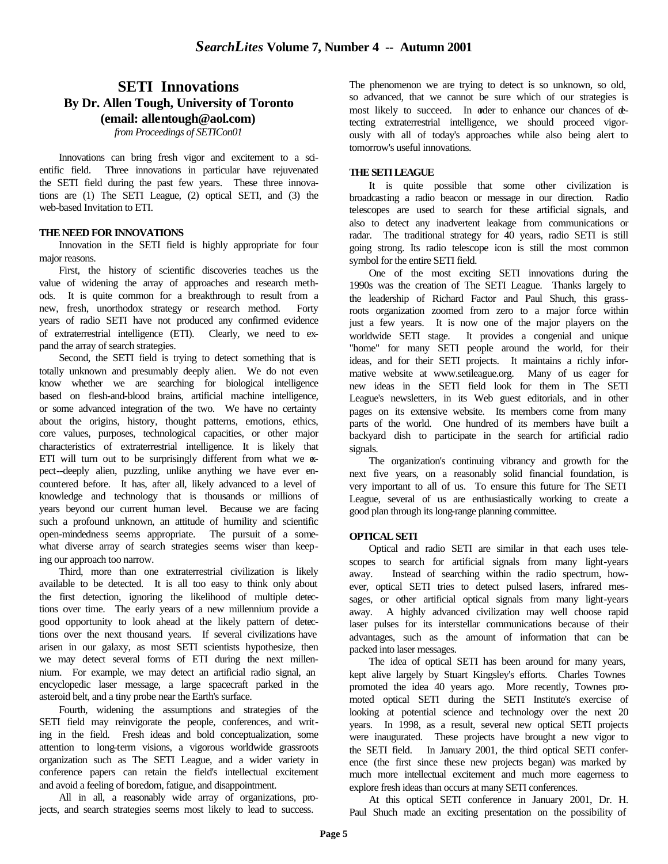### **SETI Innovations By Dr. Allen Tough, University of Toronto (email: allentough@aol.com)**

#### *from Proceedings of SETICon01*

Innovations can bring fresh vigor and excitement to a scientific field. Three innovations in particular have rejuvenated the SETI field during the past few years. These three innovations are (1) The SETI League, (2) optical SETI, and (3) the web-based Invitation to ETI.

#### **THE NEED FOR INNOVATIONS**

Innovation in the SETI field is highly appropriate for four major reasons.

First, the history of scientific discoveries teaches us the value of widening the array of approaches and research methods. It is quite common for a breakthrough to result from a new, fresh, unorthodox strategy or research method. Forty years of radio SETI have not produced any confirmed evidence of extraterrestrial intelligence (ETI). Clearly, we need to expand the array of search strategies.

Second, the SETI field is trying to detect something that is totally unknown and presumably deeply alien. We do not even know whether we are searching for biological intelligence based on flesh-and-blood brains, artificial machine intelligence, or some advanced integration of the two. We have no certainty about the origins, history, thought patterns, emotions, ethics, core values, purposes, technological capacities, or other major characteristics of extraterrestrial intelligence. It is likely that ETI will turn out to be surprisingly different from what we  $\alpha$ pect--deeply alien, puzzling, unlike anything we have ever encountered before. It has, after all, likely advanced to a level of knowledge and technology that is thousands or millions of years beyond our current human level. Because we are facing such a profound unknown, an attitude of humility and scientific open-mindedness seems appropriate. The pursuit of a somewhat diverse array of search strategies seems wiser than keeping our approach too narrow.

Third, more than one extraterrestrial civilization is likely available to be detected. It is all too easy to think only about the first detection, ignoring the likelihood of multiple detections over time. The early years of a new millennium provide a good opportunity to look ahead at the likely pattern of detections over the next thousand years. If several civilizations have arisen in our galaxy, as most SETI scientists hypothesize, then we may detect several forms of ETI during the next millennium. For example, we may detect an artificial radio signal, an encyclopedic laser message, a large spacecraft parked in the asteroid belt, and a tiny probe near the Earth's surface.

Fourth, widening the assumptions and strategies of the SETI field may reinvigorate the people, conferences, and writing in the field. Fresh ideas and bold conceptualization, some attention to long-term visions, a vigorous worldwide grassroots organization such as The SETI League, and a wider variety in conference papers can retain the field's intellectual excitement and avoid a feeling of boredom, fatigue, and disappointment.

All in all, a reasonably wide array of organizations, projects, and search strategies seems most likely to lead to success.

The phenomenon we are trying to detect is so unknown, so old, so advanced, that we cannot be sure which of our strategies is most likely to succeed. In order to enhance our chances of detecting extraterrestrial intelligence, we should proceed vigorously with all of today's approaches while also being alert to tomorrow's useful innovations.

#### **THE SETI LEAGUE**

It is quite possible that some other civilization is broadcasting a radio beacon or message in our direction. Radio telescopes are used to search for these artificial signals, and also to detect any inadvertent leakage from communications or radar. The traditional strategy for 40 years, radio SETI is still going strong. Its radio telescope icon is still the most common symbol for the entire SETI field.

One of the most exciting SETI innovations during the 1990s was the creation of The SETI League. Thanks largely to the leadership of Richard Factor and Paul Shuch, this grassroots organization zoomed from zero to a major force within just a few years. It is now one of the major players on the worldwide SETI stage. It provides a congenial and unique "home" for many SETI people around the world, for their ideas, and for their SETI projects. It maintains a richly informative website at www.setileague.org. Many of us eager for new ideas in the SETI field look for them in The SETI League's newsletters, in its Web guest editorials, and in other pages on its extensive website. Its members come from many parts of the world. One hundred of its members have built a backyard dish to participate in the search for artificial radio signals.

The organization's continuing vibrancy and growth for the next five years, on a reasonably solid financial foundation, is very important to all of us. To ensure this future for The SETI League, several of us are enthusiastically working to create a good plan through its long-range planning committee.

#### **OPTICAL SETI**

Optical and radio SETI are similar in that each uses telescopes to search for artificial signals from many light-years away. Instead of searching within the radio spectrum, however, optical SETI tries to detect pulsed lasers, infrared messages, or other artificial optical signals from many light-years away. A highly advanced civilization may well choose rapid laser pulses for its interstellar communications because of their advantages, such as the amount of information that can be packed into laser messages.

The idea of optical SETI has been around for many years, kept alive largely by Stuart Kingsley's efforts. Charles Townes promoted the idea 40 years ago. More recently, Townes promoted optical SETI during the SETI Institute's exercise of looking at potential science and technology over the next 20 years. In 1998, as a result, several new optical SETI projects were inaugurated. These projects have brought a new vigor to the SETI field. In January 2001, the third optical SETI conference (the first since these new projects began) was marked by much more intellectual excitement and much more eagerness to explore fresh ideas than occurs at many SETI conferences.

At this optical SETI conference in January 2001, Dr. H. Paul Shuch made an exciting presentation on the possibility of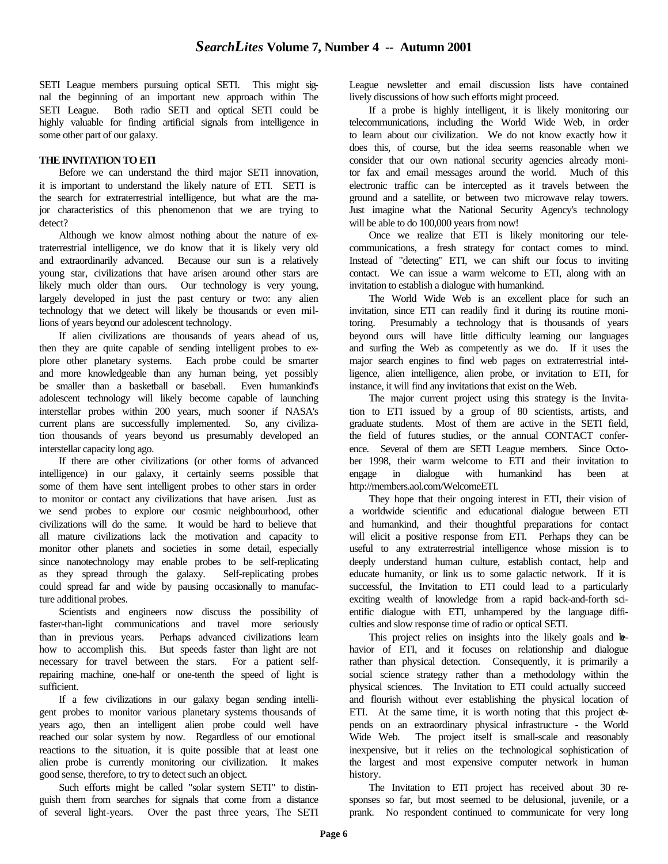SETI League members pursuing optical SETI. This might signal the beginning of an important new approach within The SETI League. Both radio SETI and optical SETI could be highly valuable for finding artificial signals from intelligence in some other part of our galaxy.

#### **THE INVITATION TO ETI**

Before we can understand the third major SETI innovation, it is important to understand the likely nature of ETI. SETI is the search for extraterrestrial intelligence, but what are the major characteristics of this phenomenon that we are trying to detect?

Although we know almost nothing about the nature of extraterrestrial intelligence, we do know that it is likely very old and extraordinarily advanced. Because our sun is a relatively young star, civilizations that have arisen around other stars are likely much older than ours. Our technology is very young, largely developed in just the past century or two: any alien technology that we detect will likely be thousands or even millions of years beyond our adolescent technology.

If alien civilizations are thousands of years ahead of us, then they are quite capable of sending intelligent probes to explore other planetary systems. Each probe could be smarter and more knowledgeable than any human being, yet possibly be smaller than a basketball or baseball. Even humankind's adolescent technology will likely become capable of launching interstellar probes within 200 years, much sooner if NASA's current plans are successfully implemented. So, any civilization thousands of years beyond us presumably developed an interstellar capacity long ago.

If there are other civilizations (or other forms of advanced intelligence) in our galaxy, it certainly seems possible that some of them have sent intelligent probes to other stars in order to monitor or contact any civilizations that have arisen. Just as we send probes to explore our cosmic neighbourhood, other civilizations will do the same. It would be hard to believe that all mature civilizations lack the motivation and capacity to monitor other planets and societies in some detail, especially since nanotechnology may enable probes to be self-replicating as they spread through the galaxy. Self-replicating probes could spread far and wide by pausing occasionally to manufacture additional probes.

Scientists and engineers now discuss the possibility of faster-than-light communications and travel more seriously than in previous years. Perhaps advanced civilizations learn how to accomplish this. But speeds faster than light are not necessary for travel between the stars. For a patient selfrepairing machine, one-half or one-tenth the speed of light is sufficient.

If a few civilizations in our galaxy began sending intelligent probes to monitor various planetary systems thousands of years ago, then an intelligent alien probe could well have reached our solar system by now. Regardless of our emotional reactions to the situation, it is quite possible that at least one alien probe is currently monitoring our civilization. It makes good sense, therefore, to try to detect such an object.

Such efforts might be called "solar system SETI" to distinguish them from searches for signals that come from a distance of several light-years. Over the past three years, The SETI

League newsletter and email discussion lists have contained lively discussions of how such efforts might proceed.

If a probe is highly intelligent, it is likely monitoring our telecommunications, including the World Wide Web, in order to learn about our civilization. We do not know exactly how it does this, of course, but the idea seems reasonable when we consider that our own national security agencies already monitor fax and email messages around the world. Much of this electronic traffic can be intercepted as it travels between the ground and a satellite, or between two microwave relay towers. Just imagine what the National Security Agency's technology will be able to do 100,000 years from now!

Once we realize that ETI is likely monitoring our telecommunications, a fresh strategy for contact comes to mind. Instead of "detecting" ETI, we can shift our focus to inviting contact. We can issue a warm welcome to ETI, along with an invitation to establish a dialogue with humankind.

The World Wide Web is an excellent place for such an invitation, since ETI can readily find it during its routine monitoring. Presumably a technology that is thousands of years beyond ours will have little difficulty learning our languages and surfing the Web as competently as we do. If it uses the major search engines to find web pages on extraterrestrial intelligence, alien intelligence, alien probe, or invitation to ETI, for instance, it will find any invitations that exist on the Web.

The major current project using this strategy is the Invitation to ETI issued by a group of 80 scientists, artists, and graduate students. Most of them are active in the SETI field, the field of futures studies, or the annual CONTACT conference. Several of them are SETI League members. Since October 1998, their warm welcome to ETI and their invitation to engage in dialogue with humankind has been at http://members.aol.com/WelcomeETI.

They hope that their ongoing interest in ETI, their vision of a worldwide scientific and educational dialogue between ETI and humankind, and their thoughtful preparations for contact will elicit a positive response from ETI. Perhaps they can be useful to any extraterrestrial intelligence whose mission is to deeply understand human culture, establish contact, help and educate humanity, or link us to some galactic network. If it is successful, the Invitation to ETI could lead to a particularly exciting wealth of knowledge from a rapid back-and-forth scientific dialogue with ETI, unhampered by the language difficulties and slow response time of radio or optical SETI.

This project relies on insights into the likely goals and behavior of ETI, and it focuses on relationship and dialogue rather than physical detection. Consequently, it is primarily a social science strategy rather than a methodology within the physical sciences. The Invitation to ETI could actually succeed and flourish without ever establishing the physical location of ETI. At the same time, it is worth noting that this project depends on an extraordinary physical infrastructure - the World Wide Web. The project itself is small-scale and reasonably inexpensive, but it relies on the technological sophistication of the largest and most expensive computer network in human history.

The Invitation to ETI project has received about 30 responses so far, but most seemed to be delusional, juvenile, or a prank. No respondent continued to communicate for very long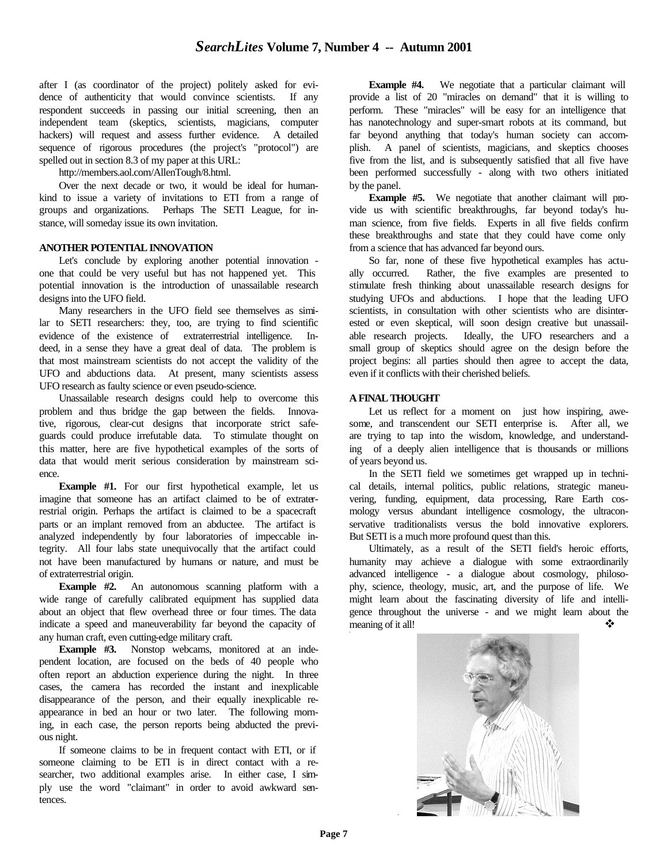after I (as coordinator of the project) politely asked for evidence of authenticity that would convince scientists. If any respondent succeeds in passing our initial screening, then an independent team (skeptics, scientists, magicians, computer hackers) will request and assess further evidence. A detailed sequence of rigorous procedures (the project's "protocol") are spelled out in section 8.3 of my paper at this URL:

http://members.aol.com/AllenTough/8.html.

Over the next decade or two, it would be ideal for humankind to issue a variety of invitations to ETI from a range of groups and organizations. Perhaps The SETI League, for instance, will someday issue its own invitation.

#### **ANOTHER POTENTIAL INNOVATION**

Let's conclude by exploring another potential innovation one that could be very useful but has not happened yet. This potential innovation is the introduction of unassailable research designs into the UFO field.

Many researchers in the UFO field see themselves as similar to SETI researchers: they, too, are trying to find scientific evidence of the existence of extraterrestrial intelligence. Indeed, in a sense they have a great deal of data. The problem is that most mainstream scientists do not accept the validity of the UFO and abductions data. At present, many scientists assess UFO research as faulty science or even pseudo-science.

Unassailable research designs could help to overcome this problem and thus bridge the gap between the fields. Innovative, rigorous, clear-cut designs that incorporate strict safeguards could produce irrefutable data. To stimulate thought on this matter, here are five hypothetical examples of the sorts of data that would merit serious consideration by mainstream science.

**Example #1.** For our first hypothetical example, let us imagine that someone has an artifact claimed to be of extraterrestrial origin. Perhaps the artifact is claimed to be a spacecraft parts or an implant removed from an abductee. The artifact is analyzed independently by four laboratories of impeccable integrity. All four labs state unequivocally that the artifact could not have been manufactured by humans or nature, and must be of extraterrestrial origin.

**Example #2.** An autonomous scanning platform with a wide range of carefully calibrated equipment has supplied data about an object that flew overhead three or four times. The data indicate a speed and maneuverability far beyond the capacity of any human craft, even cutting-edge military craft.

**Example #3.** Nonstop webcams, monitored at an independent location, are focused on the beds of 40 people who often report an abduction experience during the night. In three cases, the camera has recorded the instant and inexplicable disappearance of the person, and their equally inexplicable reappearance in bed an hour or two later. The following morning, in each case, the person reports being abducted the previous night.

If someone claims to be in frequent contact with ETI, or if someone claiming to be ETI is in direct contact with a researcher, two additional examples arise. In either case, I simply use the word "claimant" in order to avoid awkward sentences.

**Example #4.** We negotiate that a particular claimant will provide a list of 20 "miracles on demand" that it is willing to perform. These "miracles" will be easy for an intelligence that has nanotechnology and super-smart robots at its command, but far beyond anything that today's human society can accomplish. A panel of scientists, magicians, and skeptics chooses five from the list, and is subsequently satisfied that all five have been performed successfully - along with two others initiated by the panel.

**Example #5.** We negotiate that another claimant will provide us with scientific breakthroughs, far beyond today's human science, from five fields. Experts in all five fields confirm these breakthroughs and state that they could have come only from a science that has advanced far beyond ours.

So far, none of these five hypothetical examples has actually occurred. Rather, the five examples are presented to stimulate fresh thinking about unassailable research designs for studying UFOs and abductions. I hope that the leading UFO scientists, in consultation with other scientists who are disinterested or even skeptical, will soon design creative but unassailable research projects. Ideally, the UFO researchers and a small group of skeptics should agree on the design before the project begins: all parties should then agree to accept the data, even if it conflicts with their cherished beliefs.

#### **A FINAL THOUGHT**

Let us reflect for a moment on just how inspiring, awesome, and transcendent our SETI enterprise is. After all, we are trying to tap into the wisdom, knowledge, and understanding of a deeply alien intelligence that is thousands or millions of years beyond us.

In the SETI field we sometimes get wrapped up in technical details, internal politics, public relations, strategic maneuvering, funding, equipment, data processing, Rare Earth cosmology versus abundant intelligence cosmology, the ultraconservative traditionalists versus the bold innovative explorers. But SETI is a much more profound quest than this.

Ultimately, as a result of the SETI field's heroic efforts, humanity may achieve a dialogue with some extraordinarily advanced intelligence - a dialogue about cosmology, philosophy, science, theology, music, art, and the purpose of life. We might learn about the fascinating diversity of life and intelligence throughout the universe - and we might learn about the meaning of it all!